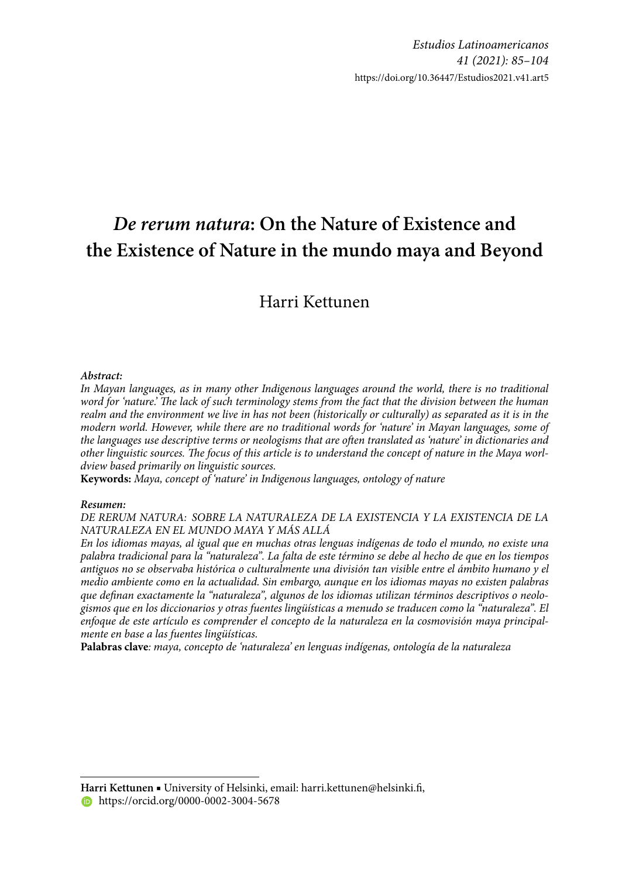# *De rerum natura***: On the Nature of Existence and the Existence of Nature in the mundo maya and Beyond**

# Harri Kettunen

#### *Abstract:*

In Mayan languages, as in many other Indigenous languages around the world, there is no traditional word for 'nature.' The lack of such terminology stems from the fact that the division between the human *realm and the environment we live in has not been (historically or culturally) as separated as it is in the modern world. However, while there are no traditional words for 'nature' in Mayan languages, some of*  the languages use descriptive terms or neologisms that are often translated as *'nature' in dictionaries and* other linguistic sources. The focus of this article is to understand the concept of nature in the Maya worl*dview based primarily on linguistic sources.*

**Keywords:** *Maya, concept of 'nature' in Indigenous languages, ontology of nature*

#### *Resumen:*

*DE RERUM NATURA: SOBRE LA NATURALEZA DE LA EXISTENCIA Y LA EXISTENCIA DE LA NATURALEZA EN EL MUNDO MAYA Y MÁS ALLÁ*

*En los idiomas mayas, al igual que en muchas otras lenguas indígenas de todo el mundo, no existe una palabra tradicional para la "naturaleza". La falta de este término se debe al hecho de que en los tiempos antiguos no se observaba histórica o culturalmente una división tan visible entre el ámbito humano y el medio ambiente como en la actualidad. Sin embargo, aunque en los idiomas mayas no existen palabras*  que definan exactamente la "naturaleza", algunos de los idiomas utilizan términos descriptivos o neolo*gismos que en los diccionarios y otras fuentes lingüísticas a menudo se traducen como la "naturaleza". El enfoque de este artículo es comprender el concepto de la naturaleza en la cosmovisión maya principalmente en base a las fuentes lingüísticas.*

**Palabras clave***: maya, concepto de 'naturaleza' en lenguas indígenas, ontología de la naturaleza*

Harri Kettunen ■ University of Helsinki, email: harri.kettunen@helsinki.fi, **https://orcid.org/0000-0002-3004-5678**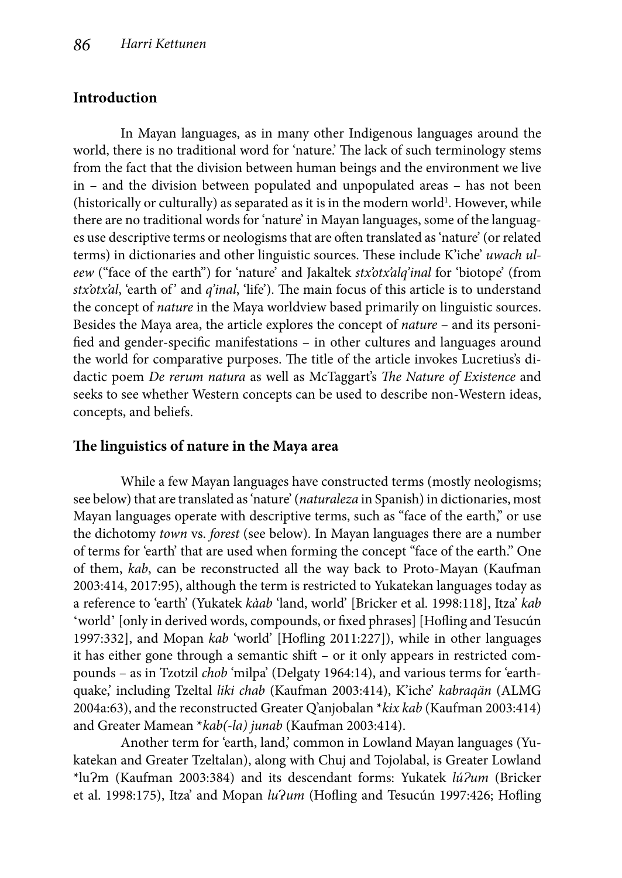# **Introduction**

In Mayan languages, as in many other Indigenous languages around the world, there is no traditional word for 'nature.' The lack of such terminology stems from the fact that the division between human beings and the environment we live in – and the division between populated and unpopulated areas – has not been (historically or culturally) as separated as it is in the modern world $^1$ . However, while there are no traditional words for 'nature' in Mayan languages, some of the languages use descriptive terms or neologisms that are often translated as 'nature' (or related terms) in dictionaries and other linguistic sources. These include K'iche' *uwach uleew* ("face of the earth") for 'nature' and Jakaltek *stx'otx'alq'inal* for 'biotope' (from stx'otx'al, 'earth of' and *q'inal*, 'life'). The main focus of this article is to understand the concept of *nature* in the Maya worldview based primarily on linguistic sources. Besides the Maya area, the article explores the concept of *nature* – and its personified and gender-specific manifestations – in other cultures and languages around the world for comparative purposes. The title of the article invokes Lucretius's didactic poem *De rerum natura* as well as McTaggart's *The Nature of Existence* and seeks to see whether Western concepts can be used to describe non-Western ideas, concepts, and beliefs.

### **The linguistics of nature in the Maya area**

While a few Mayan languages have constructed terms (mostly neologisms; see below) that are translated as 'nature' (*naturaleza* in Spanish) in dictionaries, most Mayan languages operate with descriptive terms, such as "face of the earth," or use the dichotomy *town* vs. *forest* (see below). In Mayan languages there are a number of terms for 'earth' that are used when forming the concept "face of the earth." One of them, *kab*, can be reconstructed all the way back to Proto-Mayan (Kaufman 2003:414, 2017:95), although the term is restricted to Yukatekan languages today as a reference to 'earth' (Yukatek *kàab* 'land, world' [Bricker et al. 1998:118], Itza' *kab* 'world' [only in derived words, compounds, or fixed phrases] [Hofling and Tesucún 1997:332], and Mopan *kab* 'world' [Hofling 2011:227]), while in other languages it has either gone through a semantic shift – or it only appears in restricted compounds – as in Tzotzil *chob* 'milpa' (Delgaty 1964:14), and various terms for 'earthquake,' including Tzeltal *liki chab* (Kaufman 2003:414), K'iche' *kabraqän* (ALMG 2004a:63), and the reconstructed Greater Q'anjobalan \**kix kab* (Kaufman 2003:414) and Greater Mamean \**kab(-la) junab* (Kaufman 2003:414).

Another term for 'earth, land,' common in Lowland Mayan languages (Yukatekan and Greater Tzeltalan), along with Chuj and Tojolabal, is Greater Lowland \*luɁm (Kaufman 2003:384) and its descendant forms: Yukatek *lúɁum* (Bricker et al. 1998:175), Itza' and Mopan *lu?um* (Hofling and Tesucún 1997:426; Hofling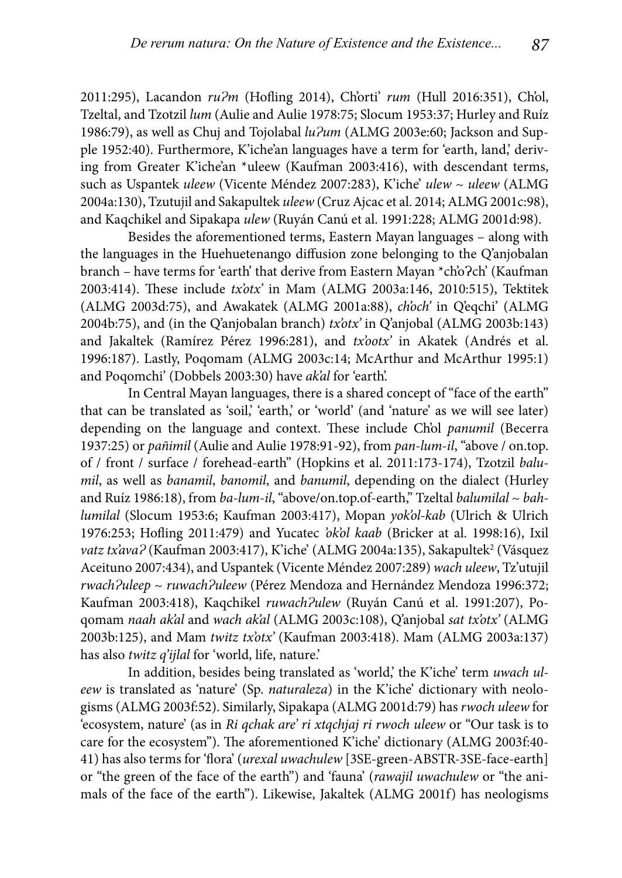2011:295), Lacandon  $ru^2m$  (Hofling 2014), Ch'orti'  $rum$  (Hull 2016:351), Ch'ol, Tzeltal, and Tzotzil *lum* (Aulie and Aulie 1978:75; Slocum 1953:37; Hurley and Ruíz 1986:79), as well as Chuj and Tojolabal *lu?um* (ALMG 2003e:60; Jackson and Supple 1952:40). Furthermore, K'iche'an languages have a term for 'earth, land,' deriving from Greater K'iche'an \*uleew (Kaufman 2003:416), with descendant terms, such as Uspantek *uleew* (Vicente Méndez 2007:283), K'iche' *ulew* ~ *uleew* (ALMG 2004a:130), Tzutujil and Sakapultek *uleew* (Cruz Ajcac et al. 2014; ALMG 2001c:98), and Kaqchikel and Sipakapa *ulew* (Ruyán Canú et al. 1991:228; ALMG 2001d:98).

Besides the aforementioned terms, Eastern Mayan languages – along with the languages in the Huehuetenango diffusion zone belonging to the Q'anjobalan branch – have terms for 'earth' that derive from Eastern Mayan \*ch'o?ch' (Kaufman 2003:414). Th ese include *tx'otx'* in Mam (ALMG 2003a:146, 2010:515), Tektitek (ALMG 2003d:75), and Awakatek (ALMG 2001a:88), *ch'och'* in Q'eqchi' (ALMG 2004b:75), and (in the Q'anjobalan branch) *tx'otx'* in Q'anjobal (ALMG 2003b:143) and Jakaltek (Ramírez Pérez 1996:281), and *tx'ootx'* in Akatek (Andrés et al. 1996:187). Lastly, Poqomam (ALMG 2003c:14; McArthur and McArthur 1995:1) and Poqomchi' (Dobbels 2003:30) have *ak'al* for 'earth'.

In Central Mayan languages, there is a shared concept of "face of the earth" that can be translated as 'soil,' 'earth,' or 'world' (and 'nature' as we will see later) depending on the language and context. These include Ch'ol *panumil* (Becerra 1937:25) or *pañimil* (Aulie and Aulie 1978:91-92), from *pan-lum-il*, "above / on.top. of / front / surface / forehead-earth" (Hopkins et al. 2011:173-174), Tzotzil *balumil*, as well as *banamil*, *banomil*, and *banumil*, depending on the dialect (Hurley and Ruíz 1986:18), from *ba-lum-il*, "above/on.top.of-earth," Tzeltal *balumilal* ~ *bahlumilal* (Slocum 1953:6; Kaufman 2003:417), Mopan *yok'ol-kab* (Ulrich & Ulrich 1976:253; Hofling 2011:479) and Yucatec 'ok'ol kaab (Bricker at al. 1998:16), Ixil vatz tx'ava? (Kaufman 2003:417), K'iche' (ALMG 2004a:135), Sakapultek<sup>2</sup> (Vásquez Aceituno 2007:434), and Uspantek (Vicente Mé ndez 2007:289) *wach uleew*, Tz'utujil *rwachɁuleep* ~ *ruwachɁuleew* (Pé rez Mendoza and Herná ndez Mendoza 1996:372; Kaufman 2003:418), Kaqchikel *ruwach?ulew* (Ruyán Canú et al. 1991:207), Poqomam *naah ak'al* and *wach ak'al* (ALMG 2003c:108), Q'anjobal *sat tx'otx'* (ALMG 2003b:125), and Mam *twitz tx'otx'* (Kaufman 2003:418). Mam (ALMG 2003a:137) has also *twitz q'ijlal* for 'world, life, nature.'

In addition, besides being translated as 'world,' the K'iche' term *uwach uleew* is translated as 'nature' (Sp. *naturaleza*) in the K'iche' dictionary with neologisms (ALMG 2003f:52). Similarly, Sipakapa (ALMG 2001d:79) has *rwoch uleew* for 'ecosystem, nature' (as in *Ri qchak are' ri xtqchjaj ri rwoch uleew* or "Our task is to care for the ecosystem"). The aforementioned K'iche' dictionary (ALMG 2003f:40-41) has also terms for 'flora' (*urexal uwachulew* [3SE-green-ABSTR-3SE-face-earth] or "the green of the face of the earth") and 'fauna' (*rawajil uwachulew* or "the animals of the face of the earth"). Likewise, Jakaltek (ALMG 2001f) has neologisms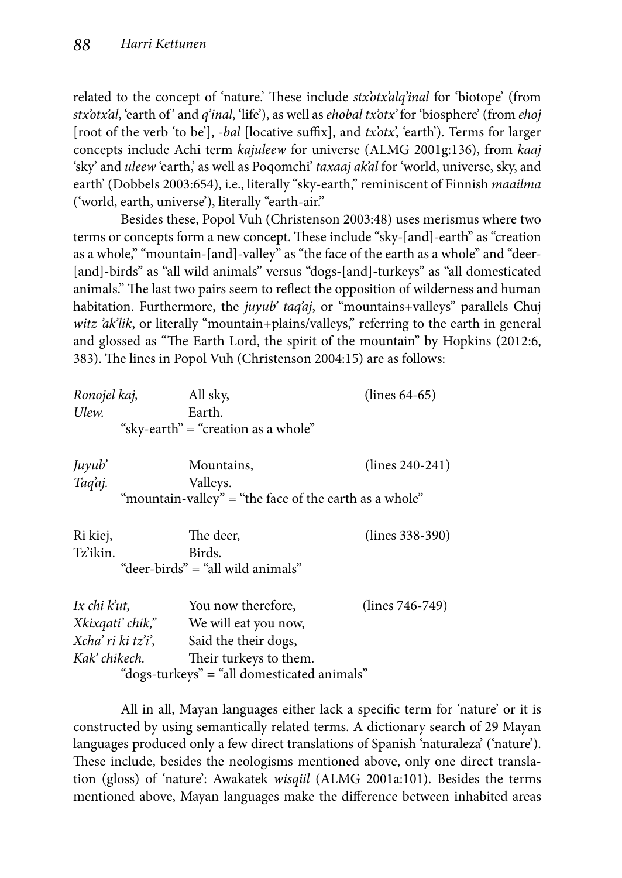related to the concept of 'nature.' These include *stx'otx'alq'inal* for 'biotope' (from *stx'otx'al*, 'earth of ' and *q'inal*, 'life'), as well as *ehobal tx'otx'* for 'biosphere' (from *ehoj* [root of the verb 'to be'], *-bal* [locative suffix], and *tx'otx'*, 'earth'). Terms for larger concepts include Achi term *kajuleew* for universe (ALMG 2001g:136), from *kaaj* 'sky' and *uleew* 'earth,' as well as Poqomchi' *taxaaj ak'al* for 'world, universe, sky, and earth' (Dobbels 2003:654), i.e., literally "sky-earth," reminiscent of Finnish *maailma* ('world, earth, universe'), literally "earth-air."

Besides these, Popol Vuh (Christenson 2003:48) uses merismus where two terms or concepts form a new concept. These include "sky-[and]-earth" as "creation as a whole," "mountain-[and]-valley" as "the face of the earth as a whole" and "deer- [and]-birds" as "all wild animals" versus "dogs-[and]-turkeys" as "all domesticated animals." The last two pairs seem to reflect the opposition of wilderness and human habitation. Furthermore, the *juyub' taq'aj*, or "mountains+valleys" parallels Chuj witz 'ak'lik, or literally "mountain+plains/valleys," referring to the earth in general and glossed as "The Earth Lord, the spirit of the mountain" by Hopkins (2012:6, 383). The lines in Popol Vuh (Christenson 2004:15) are as follows:

| Ronojel kaj,                                           | All sky,               | $(lines 64-65)$   |
|--------------------------------------------------------|------------------------|-------------------|
| Ulew.                                                  | Earth.                 |                   |
| "sky-earth" = "creation as a whole"                    |                        |                   |
| Juyub'                                                 | Mountains,             | $(lines 240-241)$ |
| Tag'aj.                                                | Valleys.               |                   |
| "mountain-valley" = "the face of the earth as a whole" |                        |                   |
| Ri kiej,                                               | The deer.              | $(lines 338-390)$ |
| Tz'ikin.                                               | Birds.                 |                   |
| "deer-birds" = "all wild animals"                      |                        |                   |
| Ix chi k'ut.                                           | You now therefore,     | $(lines 746-749)$ |
| Xkixqati' chik,"                                       | We will eat you now,   |                   |
| Xcha' ri ki tz'i',                                     | Said the their dogs,   |                   |
| Kak' chikech.                                          | Their turkeys to them. |                   |
| "dogs-turkeys" = "all domesticated animals"            |                        |                   |

All in all, Mayan languages either lack a specific term for 'nature' or it is constructed by using semantically related terms. A dictionary search of 29 Mayan languages produced only a few direct translations of Spanish 'naturaleza' ('nature'). These include, besides the neologisms mentioned above, only one direct translation (gloss) of 'nature': Awakatek *wisqiil* (ALMG 2001a:101). Besides the terms mentioned above, Mayan languages make the difference between inhabited areas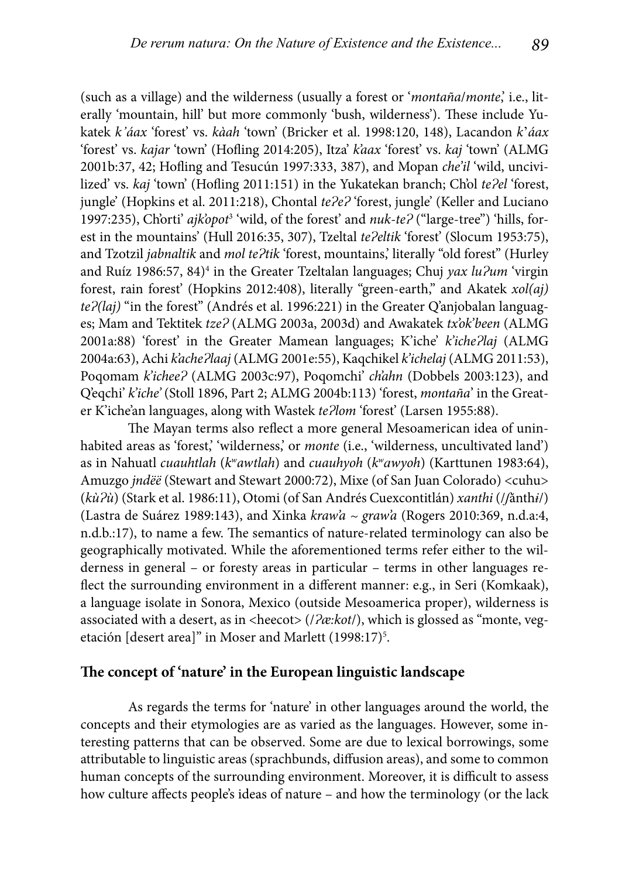(such as a village) and the wilderness (usually a forest or '*montaña*/*monte*,' i.e., literally 'mountain, hill' but more commonly 'bush, wilderness'). These include Yukatek *k'áax* 'forest' vs. *kàah* 'town' (Bricker et al. 1998:120, 148), Lacandon *k*'*áax* 'forest' vs. *kajar* 'town' (Hofling 2014:205), Itza' *k'aax* 'forest' vs. *kaj* 'town' (ALMG 2001b:37, 42; Hofling and Tesucún 1997:333, 387), and Mopan *che'il* 'wild, uncivilized' vs. *kaj* 'town' (Hofling 2011:151) in the Yukatekan branch; Ch'ol te?el 'forest, jungle' (Hopkins et al. 2011:218), Chontal *teɁeɁ* 'forest, jungle' (Keller and Luciano 1997:235), Ch'orti' ajk'opot<sup>3</sup> 'wild, of the forest' and *nuk-te?* ("large-tree") 'hills, forest in the mountains' (Hull 2016:35, 307), Tzeltal *tePeltik* 'forest' (Slocum 1953:75), and Tzotzil *jabnaltik* and *mol te?tik* 'forest, mountains,' literally "old forest" (Hurley and Ruíz 1986:57, 84)<sup>4</sup> in the Greater Tzeltalan languages; Chuj *yax lu?um* 'virgin forest, rain forest' (Hopkins 2012:408), literally "green-earth," and Akatek *xol(aj) teɁ(laj)* "in the forest" (Andrés et al. 1996:221) in the Greater Q'anjobalan languages; Mam and Tektitek *tzeɁ* (ALMG 2003a, 2003d) and Awakatek *tx'ok'been* (ALMG 2001a:88) 'forest' in the Greater Mamean languages; K'iche' *k'icheɁlaj* (ALMG 2004a:63), Achi *k'acheɁlaaj* (ALMG 2001e:55), Kaqchikel *k'ichelaj* (ALMG 2011:53), Poqomam *k'icheeɁ* (ALMG 2003c:97), Poqomchi' *ch'ahn* (Dobbels 2003:123), and Q'eqchi' *k'iche'* (Stoll 1896, Part 2; ALMG 2004b:113) 'forest, *montaña*' in the Greater K'iche'an languages, along with Wastek *teɁlom* 'forest' (Larsen 1955:88).

The Mayan terms also reflect a more general Mesoamerican idea of uninhabited areas as 'forest,' 'wilderness,' or *monte* (i.e., 'wilderness, uncultivated land') as in Nahuatl *cuauhtlah* (*kwawtlah*) and *cuauhyoh* (*kwɑwyoh*) (Karttunen 1983:64), Amuzgo *jndëë* (Stewart and Stewart 2000:72), Mixe (of San Juan Colorado) <cuhu> (*kùɁù*) (Stark et al. 1986:11), Otomi (of San André s Cuexcontitlá n) *xanthi* (/*ʃ*ănth*ɨ*/) (Lastra de Suá rez 1989:143), and Xinka *kraw'a ~ graw'a* (Rogers 2010:369, n.d.a:4, n.d.b.:17), to name a few. The semantics of nature-related terminology can also be geographically motivated. While the aforementioned terms refer either to the wilderness in general – or foresty areas in particular – terms in other languages reflect the surrounding environment in a different manner: e.g., in Seri (Komkaak), a language isolate in Sonora, Mexico (outside Mesoamerica proper), wilderness is associated with a desert, as in <heecot> (/ $2\alpha$ :kot/), which is glossed as "monte, vegetación [desert area]" in Moser and Marlett (1998:17)<sup>5</sup>.

#### The concept of 'nature' in the European linguistic landscape

As regards the terms for 'nature' in other languages around the world, the concepts and their etymologies are as varied as the languages. However, some interesting patterns that can be observed. Some are due to lexical borrowings, some attributable to linguistic areas (sprachbunds, diffusion areas), and some to common human concepts of the surrounding environment. Moreover, it is difficult to assess how culture affects people's ideas of nature - and how the terminology (or the lack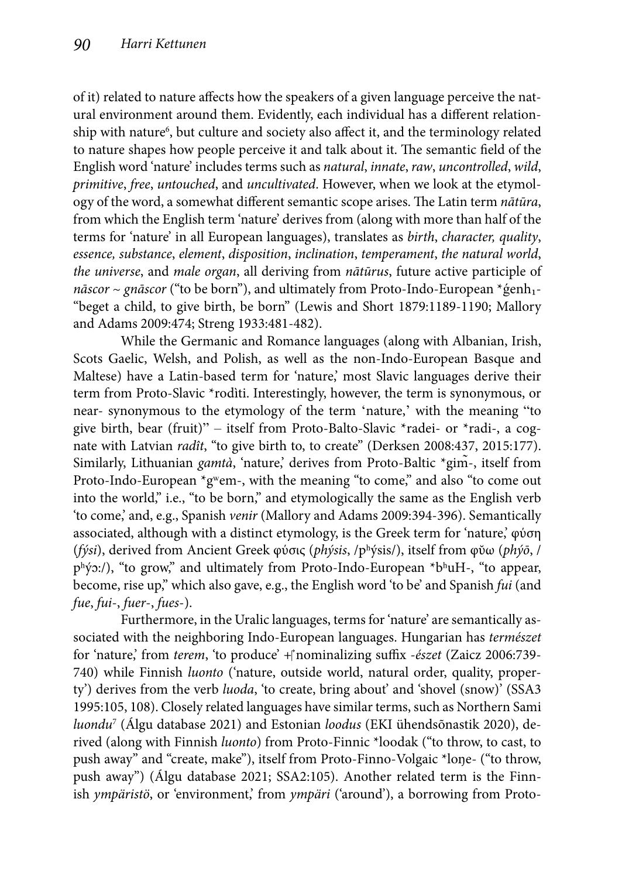of it) related to nature affects how the speakers of a given language perceive the natural environment around them. Evidently, each individual has a different relationship with nature<sup>6</sup>, but culture and society also affect it, and the terminology related to nature shapes how people perceive it and talk about it. The semantic field of the English word 'nature' includes terms such as *natural*, *innate*, *raw*, *uncontrolled*, *wild*, *primitive*, *free*, *untouched*, and *uncultivated*. However, when we look at the etymology of the word, a somewhat different semantic scope arises. The Latin term *nātūra*, from which the English term 'nature' derives from (along with more than half of the terms for 'nature' in all European languages), translates as *birth*, *character, quality*, *essence, substance*, *element*, *disposition*, *inclination*, *temperament*, *the natural world*, *the universe*, and *male organ*, all deriving from *nātūrus*, future active participle of *nāscor* ~ *gnāscor* ("to be born"), and ultimately from Proto-Indo-European \*genh<sub>1</sub>-"beget a child, to give birth, be born" (Lewis and Short 1879:1189-1190; Mallory and Adams 2009:474; Streng 1933:481-482).

While the Germanic and Romance languages (along with Albanian, Irish, Scots Gaelic, Welsh, and Polish, as well as the non-Indo-European Basque and Maltese) have a Latin-based term for 'nature,' most Slavic languages derive their term from Proto-Slavic \*rodìti. Interestingly, however, the term is synonymous, or near- synonymous to the etymology of the term 'nature,' with the meaning "to give birth, bear (fruit)" – itself from Proto-Balto-Slavic \*radei- or \*radi-, a cognate with Latvian *radît*, "to give birth to, to create" (Derksen 2008:437, 2015:177). Similarly, Lithuanian *gamtà*, 'nature,' derives from Proto-Baltic \*gim̃-, itself from Proto-Indo-European  $*g$ <sup>w</sup>em-, with the meaning "to come," and also "to come out into the world," i.e., "to be born," and etymologically the same as the English verb 'to come,' and, e.g., Spanish *venir* (Mallory and Adams 2009:394-396). Semantically associated, although with a distinct etymology, is the Greek term for 'nature,' φύση (*fýsi*), derived from Ancient Greek φύσις (*phýsis*, /pʰýsis/), itself from φῠ ω (*phýō*, / phýɔ:/), "to grow," and ultimately from Proto-Indo-European \*bhuH-, "to appear, become, rise up," which also gave, e.g., the English word 'to be' and Spanish *fui* (and *fue*, *fui*-, *fuer*-, *fues*-).

Furthermore, in the Uralic languages, terms for 'nature' are semantically associated with the neighboring Indo-European languages. Hungarian has *természet* for 'nature,' from *terem*, 'to produce' + nominalizing suffix - észet (Zaicz 2006:739-740) while Finnish *luonto* ('nature, outside world, natural order, quality, property') derives from the verb *luoda*, 'to create, bring about' and 'shovel (snow)' (SSA3 1995:105, 108). Closely related languages have similar terms, such as Northern Sami *luondu*<sup>7</sup> (Álgu database 2021) and Estonian *loodus* (EKI ühendsõnastik 2020), derived (along with Finnish *luonto*) from Proto-Finnic \*loodak ("to throw, to cast, to push away" and "create, make"), itself from Proto-Finno-Volgaic \*loŋe- ("to throw, push away") (Álgu database 2021; SSA2:105). Another related term is the Finnish *ympäristö*, or 'environment,' from *ympäri* ('around'), a borrowing from Proto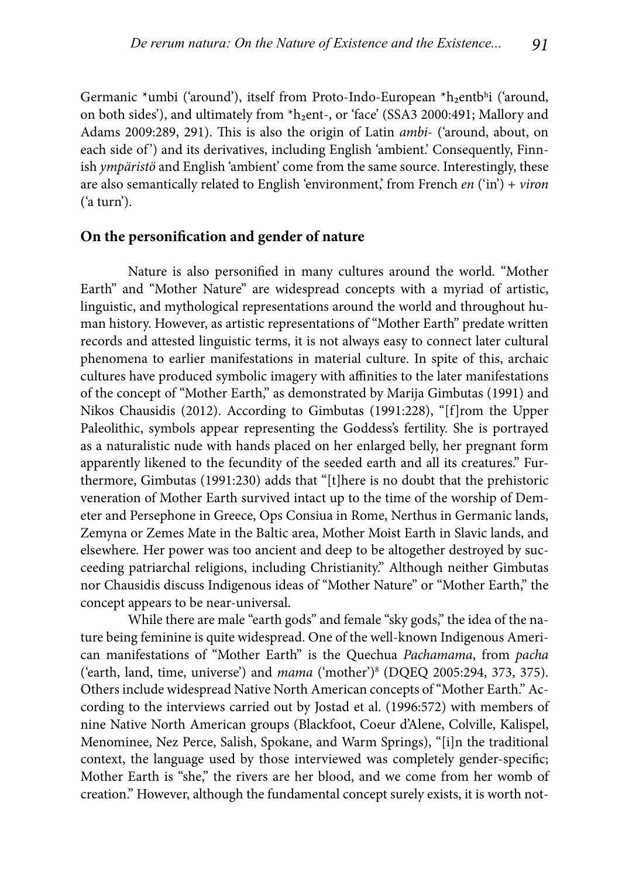Germanic \*umbi ('around'), itself from Proto-Indo-European \*h<sub>2</sub>entbʰi ('around, on both sides'), and ultimately from \*h<sub>2</sub>ent-, or 'face' (SSA3 2000:491; Mallory and Adams 2009:289, 291). This is also the origin of Latin *ambi*- ('around, about, on each side of') and its derivatives, including English 'ambient.' Consequently, Finnish *ympäristö* and English 'ambient' come from the same source. Interestingly, these are also semantically related to English 'environment,' from French *en* ('in') + *viron* ('a turn').

#### **On the personification and gender of nature**

Nature is also personified in many cultures around the world. "Mother Earth" and "Mother Nature" are widespread concepts with a myriad of artistic, linguistic, and mythological representations around the world and throughout human history. However, as artistic representations of "Mother Earth" predate written records and attested linguistic terms, it is not always easy to connect later cultural phenomena to earlier manifestations in material culture. In spite of this, archaic cultures have produced symbolic imagery with affinities to the later manifestations of the concept of "Mother Earth," as demonstrated by Marija Gimbutas (1991) and Nikos Chausidis (2012). According to Gimbutas (1991:228), "[f]rom the Upper Paleolithic, symbols appear representing the Goddess's fertility. She is portrayed as a naturalistic nude with hands placed on her enlarged belly, her pregnant form apparently likened to the fecundity of the seeded earth and all its creatures." Furthermore, Gimbutas (1991:230) adds that "[t]here is no doubt that the prehistoric veneration of Mother Earth survived intact up to the time of the worship of Demeter and Persephone in Greece, Ops Consiua in Rome, Nerthus in Germanic lands, Zemyna or Zemes Mate in the Baltic area, Mother Moist Earth in Slavic lands, and elsewhere. Her power was too ancient and deep to be altogether destroyed by succeeding patriarchal religions, including Christianity." Although neither Gimbutas nor Chausidis discuss Indigenous ideas of "Mother Nature" or "Mother Earth," the concept appears to be near-universal.

While there are male "earth gods" and female "sky gods," the idea of the nature being feminine is quite widespread. One of the well-known Indigenous American manifestations of "Mother Earth" is the Quechua *Pachamama*, from *pacha*  ('earth, land, time, universe') and *mama* ('mother')8 (DQEQ 2005:294, 373, 375). Others include widespread Native North American concepts of "Mother Earth." According to the interviews carried out by Jostad et al. (1996:572) with members of nine Native North American groups (Blackfoot, Coeur d'Alene, Colville, Kalispel, Menominee, Nez Perce, Salish, Spokane, and Warm Springs), "[i]n the traditional context, the language used by those interviewed was completely gender-specific; Mother Earth is "she," the rivers are her blood, and we come from her womb of creation." However, although the fundamental concept surely exists, it is worth not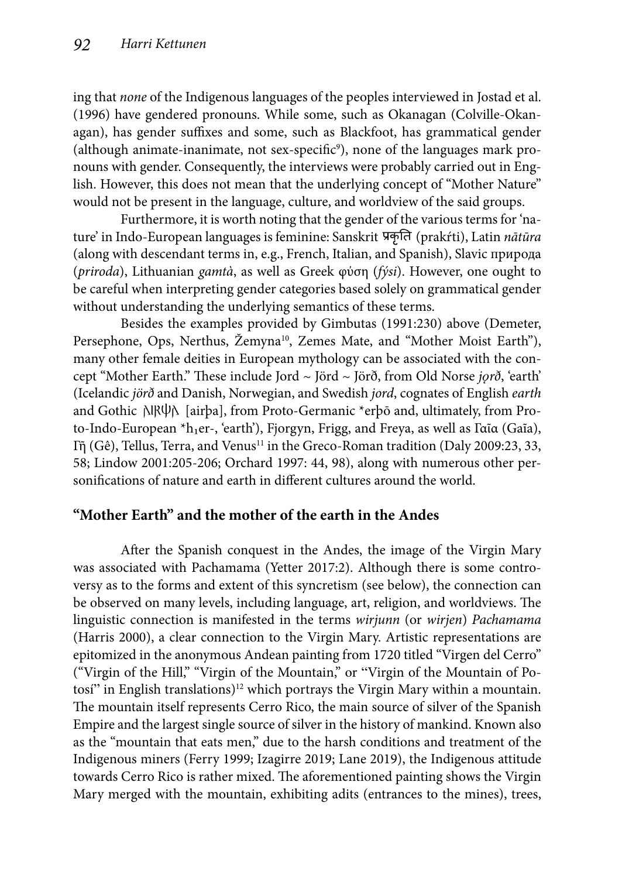ing that *none* of the Indigenous languages of the peoples interviewed in Jostad et al. (1996) have gendered pronouns. While some, such as Okanagan (Colville-Okanagan), has gender suffixes and some, such as Blackfoot, has grammatical gender (although animate-inanimate, not sex-specific $\degree$ ), none of the languages mark pronouns with gender. Consequently, the interviews were probably carried out in English. However, this does not mean that the underlying concept of "Mother Nature" would not be present in the language, culture, and worldview of the said groups.

Furthermore, it is worth noting that the gender of the various terms for 'nature' in Indo-European languages is feminine: Sanskrit (prakŕti), Latin *nātūra* (along with descendant terms in, e.g., French, Italian, and Spanish), Slavic природа (*priroda*), Lithuanian *gamtà*, as well as Greek φύση (*fýsi*). However, one ought to be careful when interpreting gender categories based solely on grammatical gender without understanding the underlying semantics of these terms.

Besides the examples provided by Gimbutas (1991:230) above (Demeter, Persephone, Ops, Nerthus, Žemyna<sup>10</sup>, Zemes Mate, and "Mother Moist Earth"), many other female deities in European mythology can be associated with the concept "Mother Earth." Th ese include Jord ~ Jörd ~ Jörð, from Old Norse *jǫrð*, 'earth' (Icelandic *jörð* and Danish, Norwegian, and Swedish *jord*, cognates of English *earth* and Gothic  $\frac{\text{N}}{\text{N}}$  [airþa], from Proto-Germanic \*erþō and, ultimately, from Proto-Indo-European \*h1er-, 'earth'), Fjorgyn, Frigg, and Freya, as well as Γαῖα (Gaĩa), Γῆ (Gê), Tellus, Terra, and Venus<sup>11</sup> in the Greco-Roman tradition (Daly 2009:23, 33, 58; Lindow 2001:205-206; Orchard 1997: 44, 98), along with numerous other personifications of nature and earth in different cultures around the world.

# **"Mother Earth" and the mother of the earth in the Andes**

After the Spanish conquest in the Andes, the image of the Virgin Mary was associated with Pachamama (Yetter 2017:2). Although there is some controversy as to the forms and extent of this syncretism (see below), the connection can be observed on many levels, including language, art, religion, and worldviews. The linguistic connection is manifested in the terms *wirjunn* (or *wirjen*) *Pachamama*  (Harris 2000), a clear connection to the Virgin Mary. Artistic representations are epitomized in the anonymous Andean painting from 1720 titled "Virgen del Cerro" ("Virgin of the Hill," "Virgin of the Mountain," or "Virgin of the Mountain of Potosí" in English translations)<sup>12</sup> which portrays the Virgin Mary within a mountain. The mountain itself represents Cerro Rico, the main source of silver of the Spanish Empire and the largest single source of silver in the history of mankind. Known also as the "mountain that eats men," due to the harsh conditions and treatment of the Indigenous miners (Ferry 1999; Izagirre 2019; Lane 2019), the Indigenous attitude towards Cerro Rico is rather mixed. The aforementioned painting shows the Virgin Mary merged with the mountain, exhibiting adits (entrances to the mines), trees,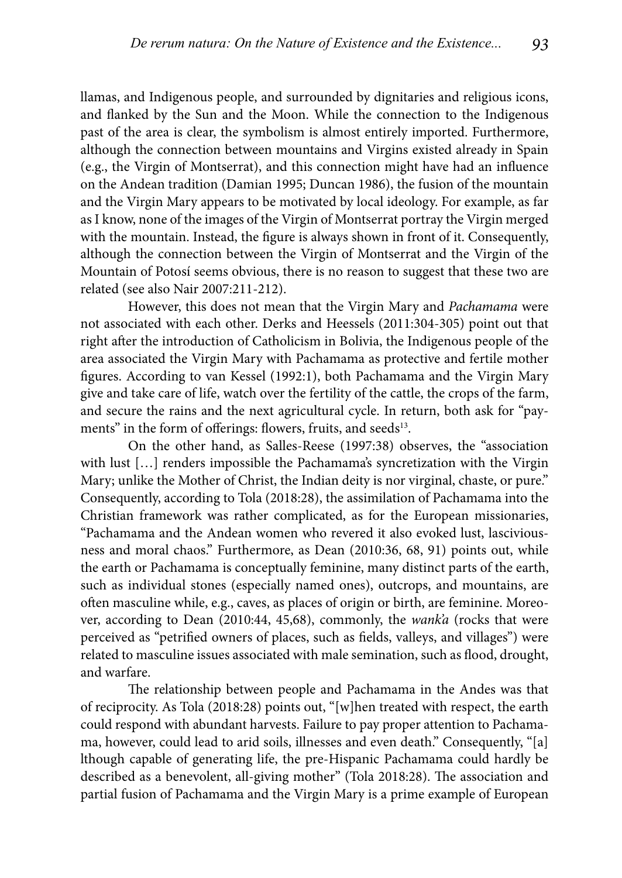llamas, and Indigenous people, and surrounded by dignitaries and religious icons, and flanked by the Sun and the Moon. While the connection to the Indigenous past of the area is clear, the symbolism is almost entirely imported. Furthermore, although the connection between mountains and Virgins existed already in Spain (e.g., the Virgin of Montserrat), and this connection might have had an influence on the Andean tradition (Damian 1995; Duncan 1986), the fusion of the mountain and the Virgin Mary appears to be motivated by local ideology. For example, as far as I know, none of the images of the Virgin of Montserrat portray the Virgin merged with the mountain. Instead, the figure is always shown in front of it. Consequently, although the connection between the Virgin of Montserrat and the Virgin of the Mountain of Potosí seems obvious, there is no reason to suggest that these two are related (see also Nair 2007:211-212).

However, this does not mean that the Virgin Mary and *Pachamama* were not associated with each other. Derks and Heessels (2011:304-305) point out that right after the introduction of Catholicism in Bolivia, the Indigenous people of the area associated the Virgin Mary with Pachamama as protective and fertile mother figures. According to van Kessel (1992:1), both Pachamama and the Virgin Mary give and take care of life, watch over the fertility of the cattle, the crops of the farm, and secure the rains and the next agricultural cycle. In return, both ask for "payments" in the form of offerings: flowers, fruits, and seeds<sup>13</sup>.

On the other hand, as Salles-Reese (1997:38) observes, the "association with lust [...] renders impossible the Pachamama's syncretization with the Virgin Mary; unlike the Mother of Christ, the Indian deity is nor virginal, chaste, or pure." Consequently, according to Tola (2018:28), the assimilation of Pachamama into the Christian framework was rather complicated, as for the European missionaries, "Pachamama and the Andean women who revered it also evoked lust, lasciviousness and moral chaos." Furthermore, as Dean (2010:36, 68, 91) points out, while the earth or Pachamama is conceptually feminine, many distinct parts of the earth, such as individual stones (especially named ones), outcrops, and mountains, are often masculine while, e.g., caves, as places of origin or birth, are feminine. Moreover, according to Dean (2010:44, 45,68), commonly, the *wank'a* (rocks that were perceived as "petrified owners of places, such as fields, valleys, and villages") were related to masculine issues associated with male semination, such as flood, drought, and warfare.

The relationship between people and Pachamama in the Andes was that of reciprocity. As Tola (2018:28) points out, "[w]hen treated with respect, the earth could respond with abundant harvests. Failure to pay proper attention to Pachamama, however, could lead to arid soils, illnesses and even death." Consequently, "[a] lthough capable of generating life, the pre-Hispanic Pachamama could hardly be described as a benevolent, all-giving mother" (Tola 2018:28). The association and partial fusion of Pachamama and the Virgin Mary is a prime example of European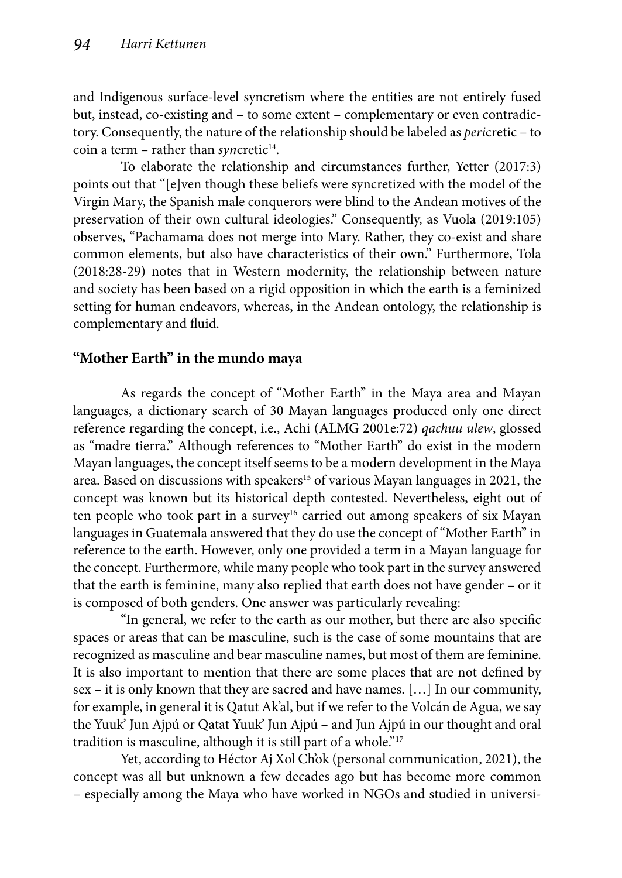and Indigenous surface-level syncretism where the entities are not entirely fused but, instead, co-existing and – to some extent – complementary or even contradictory. Consequently, the nature of the relationship should be labeled as *peri*cretic – to coin a term – rather than *syncretic*<sup>14</sup>.

To elaborate the relationship and circumstances further, Yetter (2017:3) points out that "[e]ven though these beliefs were syncretized with the model of the Virgin Mary, the Spanish male conquerors were blind to the Andean motives of the preservation of their own cultural ideologies." Consequently, as Vuola (2019:105) observes, "Pachamama does not merge into Mary. Rather, they co-exist and share common elements, but also have characteristics of their own." Furthermore, Tola (2018:28-29) notes that in Western modernity, the relationship between nature and society has been based on a rigid opposition in which the earth is a feminized setting for human endeavors, whereas, in the Andean ontology, the relationship is complementary and fluid.

# **"Mother Earth" in the mundo maya**

As regards the concept of "Mother Earth" in the Maya area and Mayan languages, a dictionary search of 30 Mayan languages produced only one direct reference regarding the concept, i.e., Achi (ALMG 2001e:72) *qachuu ulew*, glossed as "madre tierra." Although references to "Mother Earth" do exist in the modern Mayan languages, the concept itself seems to be a modern development in the Maya area. Based on discussions with speakers<sup>15</sup> of various Mayan languages in 2021, the concept was known but its historical depth contested. Nevertheless, eight out of ten people who took part in a survey<sup>16</sup> carried out among speakers of six Mayan languages in Guatemala answered that they do use the concept of "Mother Earth" in reference to the earth. However, only one provided a term in a Mayan language for the concept. Furthermore, while many people who took part in the survey answered that the earth is feminine, many also replied that earth does not have gender – or it is composed of both genders. One answer was particularly revealing:

"In general, we refer to the earth as our mother, but there are also specific spaces or areas that can be masculine, such is the case of some mountains that are recognized as masculine and bear masculine names, but most of them are feminine. It is also important to mention that there are some places that are not defined by sex – it is only known that they are sacred and have names. […] In our community, for example, in general it is Qatut Ak'al, but if we refer to the Volcán de Agua, we say the Yuuk' Jun Ajpú or Qatat Yuuk' Jun Ajpú – and Jun Ajpú in our thought and oral tradition is masculine, although it is still part of a whole."<sup>17</sup>

Yet, according to Héctor Aj Xol Ch'ok (personal communication, 2021), the concept was all but unknown a few decades ago but has become more common – especially among the Maya who have worked in NGOs and studied in universi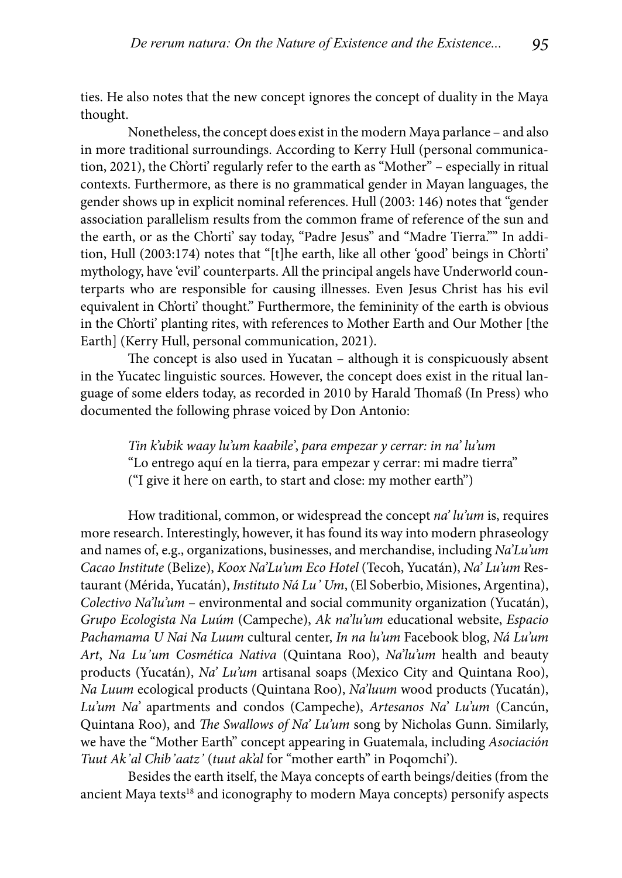ties. He also notes that the new concept ignores the concept of duality in the Maya thought.

Nonetheless, the concept does exist in the modern Maya parlance – and also in more traditional surroundings. According to Kerry Hull (personal communication, 2021), the Ch'orti' regularly refer to the earth as "Mother" – especially in ritual contexts. Furthermore, as there is no grammatical gender in Mayan languages, the gender shows up in explicit nominal references. Hull (2003: 146) notes that "gender association parallelism results from the common frame of reference of the sun and the earth, or as the Ch'orti' say today, "Padre Jesus" and "Madre Tierra."" In addition, Hull (2003:174) notes that "[t]he earth, like all other 'good' beings in Ch'orti' mythology, have 'evil' counterparts. All the principal angels have Underworld counterparts who are responsible for causing illnesses. Even Jesus Christ has his evil equivalent in Ch'orti' thought." Furthermore, the femininity of the earth is obvious in the Ch'orti' planting rites, with references to Mother Earth and Our Mother [the Earth] (Kerry Hull, personal communication, 2021).

The concept is also used in Yucatan – although it is conspicuously absent in the Yucatec linguistic sources. However, the concept does exist in the ritual language of some elders today, as recorded in 2010 by Harald Thomaß (In Press) who documented the following phrase voiced by Don Antonio:

> *Tin k'ubik waay lu'um kaabile'*, *para empezar y cerrar: in na' lu'um* "Lo entrego aquí en la tierra, para empezar y cerrar: mi madre tierra" ("I give it here on earth, to start and close: my mother earth")

How traditional, common, or widespread the concept *na' lu'um* is, requires more research. Interestingly, however, it has found its way into modern phraseology and names of, e.g., organizations, businesses, and merchandise, including *Na'Lu'um Cacao Institute* (Belize), *Koox Na'Lu'um Eco Hotel* (Tecoh, Yucatán), *Na' Lu'um* Restaurant (Mérida, Yucatán), *Instituto Ná Lu' Um*, (El Soberbio, Misiones, Argentina), *Colectivo Na'lu'um* – environmental and social community organization (Yucatán), *Grupo Ecologista Na Luúm* (Campeche), *Ak na'lu'um* educational website, *Espacio Pachamama U Nai Na Luum* cultural center, *In na lu'um* Facebook blog, *Ná Lu'um Art*, *Na Lu'um Cosmética Nativa* (Quintana Roo), *Na'lu'um* health and beauty products (Yucatán), *Na' Lu'um* artisanal soaps (Mexico City and Quintana Roo), *Na Luum* ecological products (Quintana Roo), *Na'luum* wood products (Yucatán), *Lu'um Na'* apartments and condos (Campeche), *Artesanos Na' Lu'um* (Cancún, Quintana Roo), and *The Swallows of Na' Lu'um* song by Nicholas Gunn. Similarly, we have the "Mother Earth" concept appearing in Guatemala, including *Asociación Tuut Ak'al Chib'aatz'* (*tuut ak'al* for "mother earth" in Poqomchi').

Besides the earth itself, the Maya concepts of earth beings/deities (from the ancient Maya texts<sup>18</sup> and iconography to modern Maya concepts) personify aspects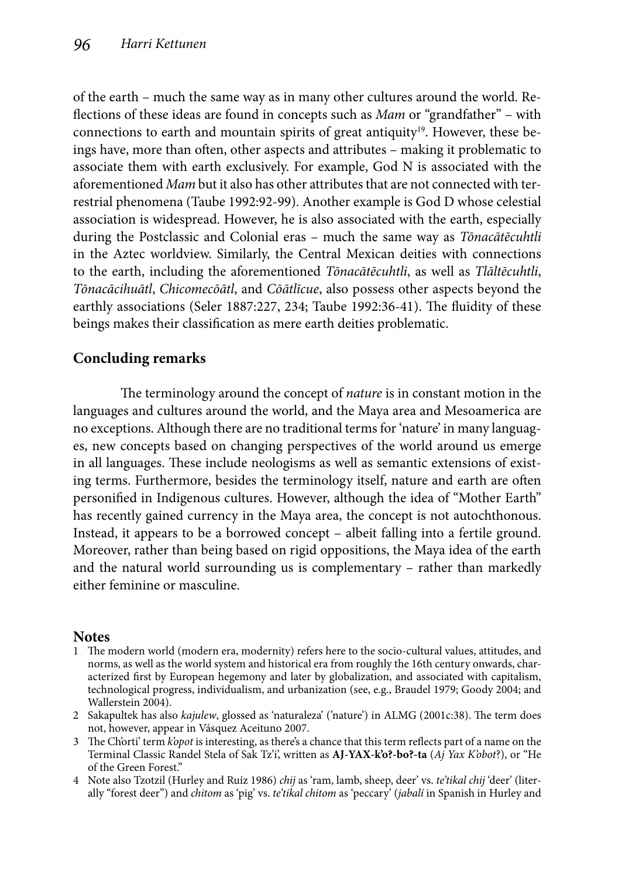of the earth – much the same way as in many other cultures around the world. Reflections of these ideas are found in concepts such as *Mam* or "grandfather" – with connections to earth and mountain spirits of great antiquity<sup>19</sup>. However, these beings have, more than often, other aspects and attributes – making it problematic to associate them with earth exclusively. For example, God N is associated with the aforementioned *Mam* but it also has other attributes that are not connected with terrestrial phenomena (Taube 1992:92-99). Another example is God D whose celestial association is widespread. However, he is also associated with the earth, especially during the Postclassic and Colonial eras – much the same way as *Tōnacātēcuhtli* in the Aztec worldview. Similarly, the Central Mexican deities with connections to the earth, including the aforementioned *Tōnacātēcuhtli*, as well as *Tlāltēcuhtli*, *Tōnacācihuātl*, *Chicomecōātl*, and *Cōātlīcue*, also possess other aspects beyond the earthly associations (Seler 1887:227, 234; Taube 1992:36-41). The fluidity of these beings makes their classification as mere earth deities problematic.

# **Concluding remarks**

The terminology around the concept of *nature* is in constant motion in the languages and cultures around the world, and the Maya area and Mesoamerica are no exceptions. Although there are no traditional terms for 'nature' in many languages, new concepts based on changing perspectives of the world around us emerge in all languages. These include neologisms as well as semantic extensions of existing terms. Furthermore, besides the terminology itself, nature and earth are often personified in Indigenous cultures. However, although the idea of "Mother Earth" has recently gained currency in the Maya area, the concept is not autochthonous. Instead, it appears to be a borrowed concept – albeit falling into a fertile ground. Moreover, rather than being based on rigid oppositions, the Maya idea of the earth and the natural world surrounding us is complementary – rather than markedly either feminine or masculine.

#### **Notes**

- 1 The modern world (modern era, modernity) refers here to the socio-cultural values, attitudes, and norms, as well as the world system and historical era from roughly the 16th century onwards, characterized first by European hegemony and later by globalization, and associated with capitalism, technological progress, individualism, and urbanization (see, e.g., Braudel 1979; Goody 2004; and Wallerstein 2004).
- 2 Sakapultek has also *kajulew*, glossed as 'naturaleza' ('nature') in ALMG (2001c:38). The term does not, however, appear in Vá squez Aceituno 2007.
- 3 The Ch'orti' term *k'opot* is interesting, as there's a chance that this term reflects part of a name on the Terminal Classic Randel Stela of Sak Tz'i', written as **AJ-YAX-k'o?-bo?-ta** (*Aj Yax K'obot*?), or "He of the Green Forest."
- 4 Note also Tzotzil (Hurley and Ruíz 1986) *chij* as 'ram, lamb, sheep, deer' vs. *te'tikal chij* 'deer' (literally "forest deer") and *chitom* as 'pig' vs. *te'tikal chitom* as 'peccary' (*jabalí* in Spanish in Hurley and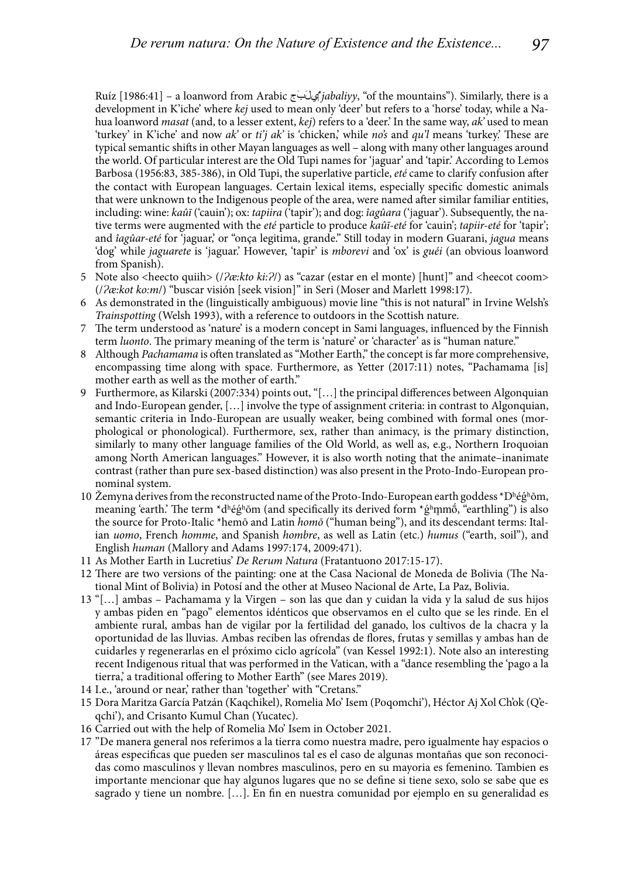Ruíz [1986:41] – a loanword from Arabic جَبَلِيّ*jabaliyy*, "of the mountains"). Similarly, there is a development in K'iche' where *kej* used to mean only 'deer' but refers to a 'horse' today, while a Nahua loanword *masat* (and, to a lesser extent, *kej*) refers to a 'deer.' In the same way, *ak'* used to mean 'turkey' in K'iche' and now *ak'* or *ti'j ak'* is 'chicken', while *no's* and *qu'l* means 'turkey.' These are typical semantic shifts in other Mayan languages as well – along with many other languages around the world. Of particular interest are the Old Tupi names for 'jaguar' and 'tapir.' According to Lemos Barbosa (1956:83, 385-386), in Old Tupi, the superlative particle, *eté* came to clarify confusion after the contact with European languages. Certain lexical items, especially specific domestic animals that were unknown to the Indigenous people of the area, were named after similar familiar entities, including: wine: *kaûĩ* ('cauin'); ox: *tapiira* ('tapir'); and dog: *îagûara* ('jaguar'). Subsequently, the native terms were augmented with the *eté* particle to produce *kaûĩ-eté* for 'cauin'; *tapiir-eté* for 'tapir'; and *îagûar-eté* for 'jaguar,' or "onça legitima, grande." Still today in modern Guarani, *jagua* means 'dog' while *jaguarete* is 'jaguar.' However, 'tapir' is *mborevi* and 'ox' is *guéi* (an obvious loanword from Spanish).

- 5 Note also <heecto quiih> (/ $\frac{2}{\alpha}$ *kto ki:* $\frac{2}{\beta}$  ) as "cazar (estar en el monte) [hunt]" and <heecot coom> (/*Ɂæ:kot ko:m*/) "buscar visión [seek vision]" in Seri (Moser and Marlett 1998:17).
- 6 As demonstrated in the (linguistically ambiguous) movie line "this is not natural" in Irvine Welsh's *Trainspotting* (Welsh 1993), with a reference to outdoors in the Scottish nature.
- 7 The term understood as 'nature' is a modern concept in Sami languages, influenced by the Finnish term *luonto*. The primary meaning of the term is 'nature' or 'character' as is "human nature."
- 8 Although *Pachamama* is often translated as "Mother Earth," the concept is far more comprehensive, encompassing time along with space. Furthermore, as Yetter (2017:11) notes, "Pachamama [is] mother earth as well as the mother of earth."
- 9 Furthermore, as Kilarski (2007:334) points out, "[...] the principal differences between Algonquian and Indo-European gender, […] involve the type of assignment criteria: in contrast to Algonquian, semantic criteria in Indo-European are usually weaker, being combined with formal ones (morphological or phonological). Furthermore, sex, rather than animacy, is the primary distinction, similarly to many other language families of the Old World, as well as, e.g., Northern Iroquoian among North American languages." However, it is also worth noting that the animate–inanimate contrast (rather than pure sex-based distinction) was also present in the Proto-Indo-European pronominal system.
- 10 Žemyna derives from the reconstructed name of the Proto-Indo-European earth goddess \*Dʰégʰōm, meaning 'earth.' The term \*dʰégʰōm (and specifically its derived form \*gʰmmō̄, "earthling") is also the source for Proto-Italic \*hemō and Latin *homō* ("human being"), and its descendant terms: Italian *uomo*, French *homme*, and Spanish *hombre*, as well as Latin (etc.) *humus* ("earth, soil"), and English *human* (Mallory and Adams 1997:174, 2009:471).
- 11 As Mother Earth in Lucretius' *De Rerum Natura* (Fratantuono 2017:15-17).
- 12 There are two versions of the painting: one at the Casa Nacional de Moneda de Bolivia (The National Mint of Bolivia) in Potosí and the other at Museo Nacional de Arte, La Paz, Bolivia.
- 13 "[…] ambas Pachamama y la Virgen son las que dan y cuidan la vida y la salud de sus hijos y ambas piden en "pago" elementos idénticos que observamos en el culto que se les rinde. En el ambiente rural, ambas han de vigilar por la fertilidad del ganado, los cultivos de la chacra y la oportunidad de las lluvias. Ambas reciben las ofrendas de flores, frutas y semillas y ambas han de cuidarles y regenerarlas en el próximo ciclo agrícola" (van Kessel 1992:1). Note also an interesting recent Indigenous ritual that was performed in the Vatican, with a "dance resembling the 'pago a la tierra,' a traditional offering to Mother Earth" (see Mares 2019).
- 14 I.e., 'around or near,' rather than 'together' with "Cretans."
- 15 Dora Maritza García Patzán (Kaqchikel), Romelia Mo' Isem (Poqomchi'), Hé ctor Aj Xol Ch'ok (Q'eqchi'), and Crisanto Kumul Chan (Yucatec).
- 16 Carried out with the help of Romelia Mo' Isem in October 2021.
- 17 "De manera general nos referimos a la tierra como nuestra madre, pero igualmente hay espacios o áreas especificas que pueden ser masculinos tal es el caso de algunas montañas que son reconocidas como masculinos y llevan nombres masculinos, pero en su mayoria es femenino. Tambien es importante mencionar que hay algunos lugares que no se define si tiene sexo, solo se sabe que es sagrado y tiene un nombre. [...]. En fin en nuestra comunidad por ejemplo en su generalidad es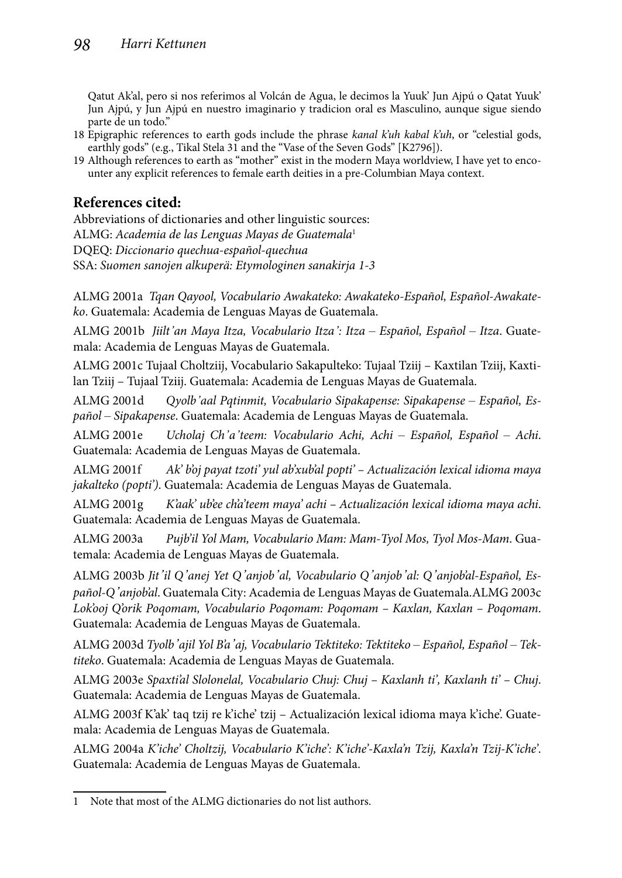Qatut Ak'al, pero si nos referimos al Volcán de Agua, le decimos la Yuuk' Jun Ajpú o Qatat Yuuk' Jun Ajpú, y Jun Ajpú en nuestro imaginario y tradicion oral es Masculino, aunque sigue siendo parte de un todo."

- 18 Epigraphic references to earth gods include the phrase *kanal k'uh kabal k'uh*, or "celestial gods, earthly gods" (e.g., Tikal Stela 31 and the "Vase of the Seven Gods" [K2796]).
- 19 Although references to earth as "mother" exist in the modern Maya worldview, I have yet to encounter any explicit references to female earth deities in a pre-Columbian Maya context.

## **References cited:**

Abbreviations of dictionaries and other linguistic sources: ALMG: *Academia de las Lenguas Mayas de Guatemala*<sup>1</sup> DQEQ: *Diccionario quechua-españ ol-quechua* SSA: *Suomen sanojen alkuperä: Etymologinen sanakirja 1-3*

ALMG 2001a *Tqan Qayool, Vocabulario Awakateko: Awakateko-Español, Español-Awakateko*. Guatemala: Academia de Lenguas Mayas de Guatemala.

ALMG 2001b *Jiilt'an Maya Itza, Vocabulario Itza': Itza – Español, Español – Itza*. Guatemala: Academia de Lenguas Mayas de Guatemala.

ALMG 2001c Tujaal Choltziij, Vocabulario Sakapulteko: Tujaal Tziij – Kaxtilan Tziij, Kaxtilan Tziij – Tujaal Tziij. Guatemala: Academia de Lenguas Mayas de Guatemala.

ALMG 2001d *Qyolb'aal Pqtinmit, Vocabulario Sipakapense: Sipakapense – Español, Español – Sipakapense*. Guatemala: Academia de Lenguas Mayas de Guatemala.

ALMG 2001e *Ucholaj Ch'a'teem: Vocabulario Achi, Achi – Español, Español – Achi*. Guatemala: Academia de Lenguas Mayas de Guatemala.

ALMG 2001f *Ak' b'oj payat tzoti' yul ab'xub'al popti' – Actualizació n lexical idioma maya jakalteko (popti')*. Guatemala: Academia de Lenguas Mayas de Guatemala.

ALMG 2001g *K'aak' ub'ee ch'a'teem maya' achi – Actualizació n lexical idioma maya achi*. Guatemala: Academia de Lenguas Mayas de Guatemala.

ALMG 2003a *Pujb'il Yol Mam, Vocabulario Mam: Mam-Tyol Mos, Tyol Mos-Mam*. Guatemala: Academia de Lenguas Mayas de Guatemala.

ALMG 2003b *Jit'il Q'anej Yet Q'anjob'al, Vocabulario Q'anjob'al: Q'anjob'al-Español, Español-Q'anjob'al*. Guatemala City: Academia de Lenguas Mayas de Guatemala.ALMG 2003c *Lok'ooj Q'orik Poqomam, Vocabulario Poqomam: Poqomam – Kaxlan, Kaxlan – Poqomam*. Guatemala: Academia de Lenguas Mayas de Guatemala.

ALMG 2003d *Tyolb'ajil Yol B'a'aj, Vocabulario Tektiteko: Tektiteko – Español, Español – Tektiteko*. Guatemala: Academia de Lenguas Mayas de Guatemala.

ALMG 2003e *Spaxti'al Slolonelal, Vocabulario Chuj: Chuj – Kaxlanh ti', Kaxlanh ti' – Chuj*. Guatemala: Academia de Lenguas Mayas de Guatemala.

ALMG 2003f K'ak' taq tzij re k'iche' tzij – Actualizació n lexical idioma maya k'iche'. Guatemala: Academia de Lenguas Mayas de Guatemala.

ALMG 2004a *K'iche' Choltzij, Vocabulario K'iche': K'iche'-Kaxla'n Tzij, Kaxla'n Tzij-K'iche'*. Guatemala: Academia de Lenguas Mayas de Guatemala.

<sup>1</sup> Note that most of the ALMG dictionaries do not list authors.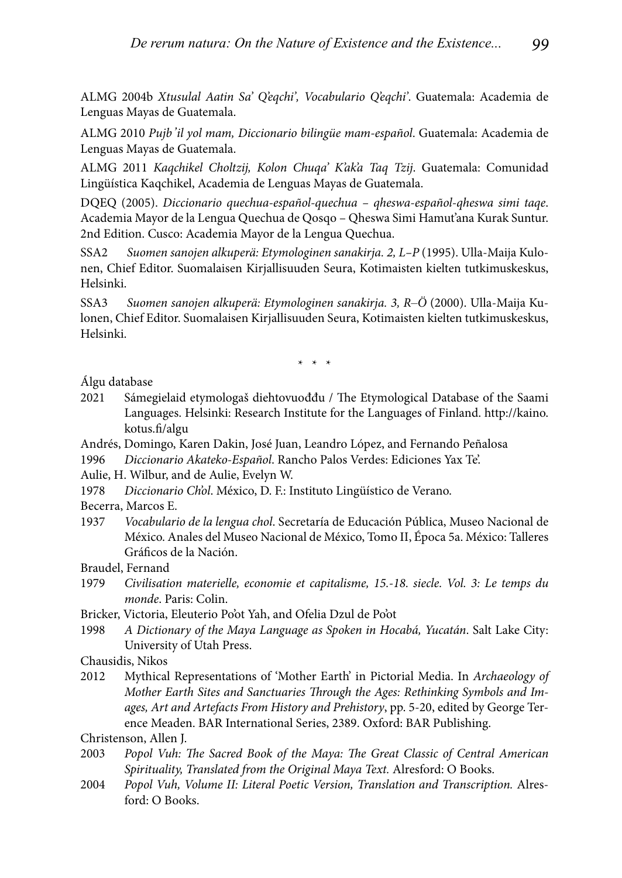ALMG 2004b *Xtusulal Aatin Sa' Q'eqchi', Vocabulario Q'eqchi'*. Guatemala: Academia de Lenguas Mayas de Guatemala.

ALMG 2010 *Pujb'il yol mam, Diccionario bilingü e mam-españ ol*. Guatemala: Academia de Lenguas Mayas de Guatemala.

ALMG 2011 *Kaqchikel Choltzij, Kolon Chuqa' K'ak'a Taq Tzij*. Guatemala: Comunidad Lingüística Kaqchikel, Academia de Lenguas Mayas de Guatemala.

DQEQ (2005). *Diccionario quechua-españ ol-quechua – qheswa-español-qheswa simi taqe*. Academia Mayor de la Lengua Quechua de Qosqo – Qheswa Simi Hamut'ana Kurak Suntur. 2nd Edition. Cusco: Academia Mayor de la Lengua Quechua.

SSA2 *Suomen sanojen alkuperä: Etymologinen sanakirja. 2, L–P* (1995). Ulla-Maija Kulonen, Chief Editor. Suomalaisen Kirjallisuuden Seura, Kotimaisten kielten tutkimuskeskus, Helsinki.

SSA3 *Suomen sanojen alkuperä: Etymologinen sanakirja. 3, R–Ö* (2000). Ulla-Maija Kulonen, Chief Editor. Suomalaisen Kirjallisuuden Seura, Kotimaisten kielten tutkimuskeskus, Helsinki.

\* \* \*

Álgu database

- 2021 Sámegielaid etymologaš diehtovuođđu / The Etymological Database of the Saami Languages. Helsinki: Research Institute for the Languages of Finland. http://kaino. kotus.fi/algu
- Andrés, Domingo, Karen Dakin, José Juan, Leandro López, and Fernando Peñalosa
- 1996 *Diccionario Akateko-Español*. Rancho Palos Verdes: Ediciones Yax Te'.

Aulie, H. Wilbur, and de Aulie, Evelyn W.

1978 *Diccionario Ch'ol*. México, D. F.: Instituto Lingüístico de Verano.

Becerra, Marcos E.

1937 *Vocabulario de la lengua chol*. Secretaría de Educación Pública, Museo Nacional de México. Anales del Museo Nacional de México, Tomo II, Época 5a. México: Talleres Gráficos de la Nación.

Braudel, Fernand

- 1979 *Civilisation materielle, economie et capitalisme, 15.-18. siecle. Vol. 3: Le temps du monde*. Paris: Colin.
- Bricker, Victoria, Eleuterio Po'ot Yah, and Ofelia Dzul de Po'ot
- 1998 *A Dictionary of the Maya Language as Spoken in Hocabá, Yucatán*. Salt Lake City: University of Utah Press.

Chausidis, Nikos

2012 Mythical Representations of 'Mother Earth' in Pictorial Media. In *Archaeology of Mother Earth Sites and Sanctuaries Through the Ages: Rethinking Symbols and Images, Art and Artefacts From History and Prehistory*, pp. 5-20, edited by George Terence Meaden. BAR International Series, 2389. Oxford: BAR Publishing.

Christenson, Allen J.

- 2003 Popol Vuh: The Sacred Book of the Maya: The Great Classic of Central American *Spirituality, Translated from the Original Maya Text.* Alresford: O Books.
- 2004 *Popol Vuh, Volume II: Literal Poetic Version, Translation and Transcription.* Alresford: O Books.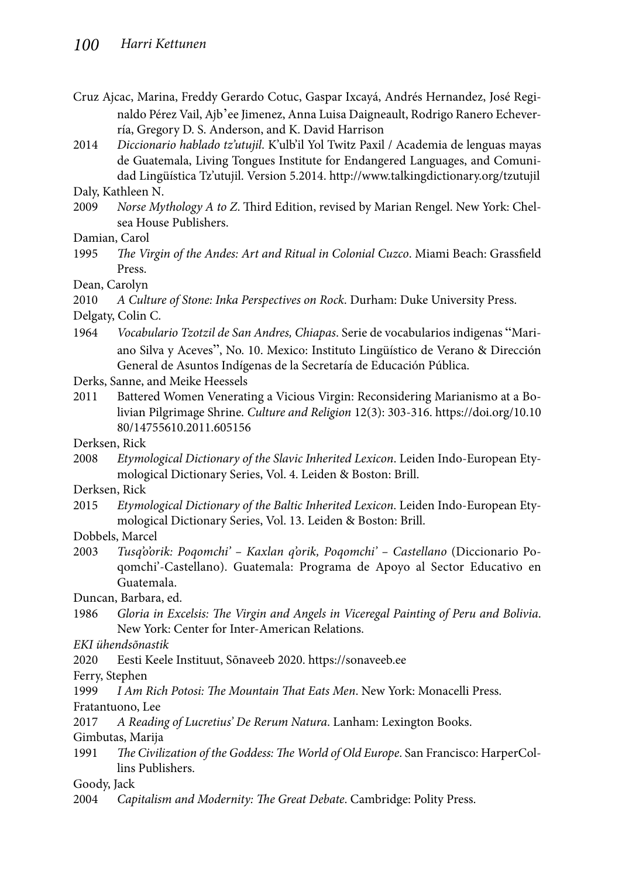- Cruz Ajcac, Marina, Freddy Gerardo Cotuc, Gaspar Ixcayá, Andrés Hernandez, José Reginaldo Pérez Vail, Ajb'ee Jimenez, Anna Luisa Daigneault, Rodrigo Ranero Echeverría, Gregory D. S. Anderson, and K. David Harrison
- 2014 *Diccionario hablado tz'utujil*. K'ulb'il Yol Twitz Paxil / Academia de lenguas mayas de Guatemala, Living Tongues Institute for Endangered Languages, and Comunidad Lingüística Tz'utujil. Version 5.2014. http://www.talkingdictionary.org/tzutujil

Daly, Kathleen N.

2009 *Norse Mythology A to Z*. Third Edition, revised by Marian Rengel. New York: Chelsea House Publishers.

Damian, Carol

1995 *The Virgin of the Andes: Art and Ritual in Colonial Cuzco*. Miami Beach: Grassfield Press.

Dean, Carolyn

2010 *A Culture of Stone: Inka Perspectives on Rock*. Durham: Duke University Press.

Delgaty, Colin C.

1964 *Vocabulario Tzotzil de San Andres, Chiapas*. Serie de vocabularios indigenas "Mariano Silva y Aceves", No. 10. Mexico: Instituto Lingüístico de Verano & Dirección General de Asuntos Indígenas de la Secretaría de Educación Pública.

Derks, Sanne, and Meike Heessels

2011 Battered Women Venerating a Vicious Virgin: Reconsidering Marianismo at a Bolivian Pilgrimage Shrine. *Culture and Religion* 12(3): 303-316. https://doi.org/10.10 80/14755610.2011.605156

Derksen, Rick

2008 *Etymological Dictionary of the Slavic Inherited Lexicon*. Leiden Indo-European Etymological Dictionary Series, Vol. 4. Leiden & Boston: Brill.

Derksen, Rick

2015 *Etymological Dictionary of the Baltic Inherited Lexicon*. Leiden Indo-European Etymological Dictionary Series, Vol. 13. Leiden & Boston: Brill.

Dobbels, Marcel

2003 *Tusq'o'orik: Poqomchi' – Kaxlan q'orik, Poqomchi' – Castellano* (Diccionario Poqomchi'-Castellano). Guatemala: Programa de Apoyo al Sector Educativo en Guatemala.

Duncan, Barbara, ed.

1986 Gloria in Excelsis: The Virgin and Angels in Viceregal Painting of Peru and Bolivia. New York: Center for Inter-American Relations.

*EKI ühendsõnastik*

2020 Eesti Keele Instituut, Sõnaveeb 2020. https://sonaveeb.ee

Ferry, Stephen

1999 *I Am Rich Potosi: The Mountain That Eats Men*. New York: Monacelli Press.

Fratantuono, Lee

2017 *A Reading of Lucretius' De Rerum Natura*. Lanham: Lexington Books.

Gimbutas, Marija

1991 *The Civilization of the Goddess: The World of Old Europe*. San Francisco: HarperCollins Publishers.

Goody, Jack

2004 Capitalism and Modernity: The Great Debate. Cambridge: Polity Press.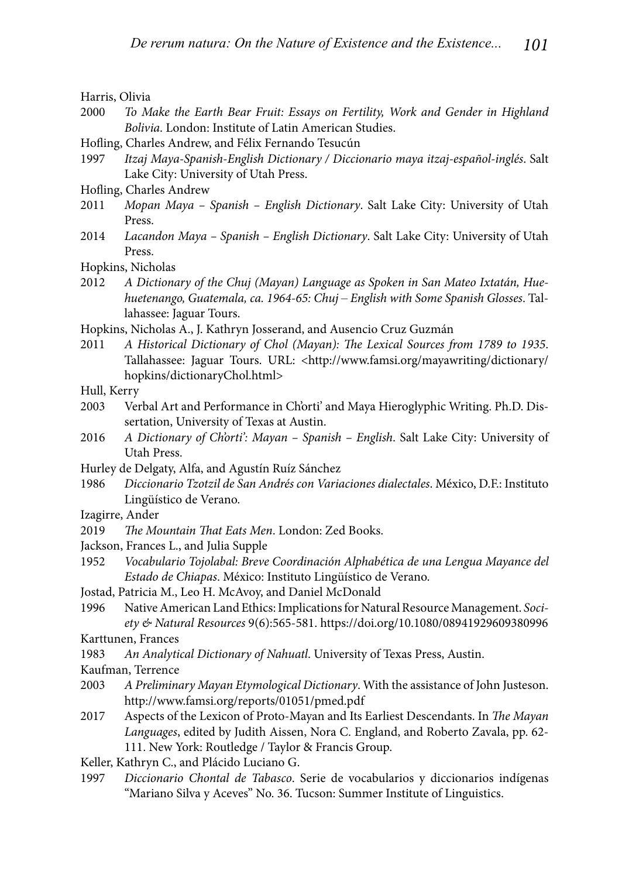Harris, Olivia

- 2000 *To Make the Earth Bear Fruit: Essays on Fertility, Work and Gender in Highland Bolivia*. London: Institute of Latin American Studies.
- Hofling, Charles Andrew, and Félix Fernando Tesucún
- 1997 *Itzaj Maya-Spanish-English Dictionary / Diccionario maya itzaj-español-inglés*. Salt Lake City: University of Utah Press.
- Hofling, Charles Andrew
- 2011 *Mopan Maya Spanish English Dictionary*. Salt Lake City: University of Utah Press.
- 2014 *Lacandon Maya Spanish English Dictionary*. Salt Lake City: University of Utah Press.
- Hopkins, Nicholas
- 2012 *A Dictionary of the Chuj (Mayan) Language as Spoken in San Mateo Ixtatán, Huehuetenango, Guatemala, ca. 1964-65: Chuj – English with Some Spanish Glosses*. Tallahassee: Jaguar Tours.
- Hopkins, Nicholas A., J. Kathryn Josserand, and Ausencio Cruz Guzmán
- 2011 A Historical Dictionary of Chol (Mayan): The Lexical Sources from 1789 to 1935. Tallahassee: Jaguar Tours. URL: <http://www.famsi.org/mayawriting/dictionary/ hopkins/dictionaryChol.html>
- Hull, Kerry
- 2003 Verbal Art and Performance in Ch'orti' and Maya Hieroglyphic Writing. Ph.D. Dissertation, University of Texas at Austin.
- 2016 *A Dictionary of Ch'orti': Mayan Spanish English*. Salt Lake City: University of Utah Press.
- Hurley de Delgaty, Alfa, and Agustín Ruíz Sánchez
- 1986 *Diccionario Tzotzil de San Andrés con Variaciones dialectales*. Mé xico, D.F.: Instituto Lingüístico de Verano.
- Izagirre, Ander
- 2019 The Mountain That Eats Men. London: Zed Books.
- Jackson, Frances L., and Julia Supple
- 1952 *Vocabulario Tojolabal: Breve Coordinación Alphabética de una Lengua Mayance del Estado de Chiapas*. México: Instituto Lingüístico de Verano.
- Jostad, Patricia M., Leo H. McAvoy, and Daniel McDonald
- 1996 Native American Land Ethics: Implications for Natural Resource Management. *Society & Natural Resources* 9(6):565-581. https://doi.org/10.1080/08941929609380996
- Karttunen, Frances
- 1983 *An Analytical Dictionary of Nahuatl*. University of Texas Press, Austin.
- Kaufman, Terrence
- 2003 *A Preliminary Mayan Etymological Dictionary*. With the assistance of John Justeson. http://www.famsi.org/reports/01051/pmed.pdf
- 2017 Aspects of the Lexicon of Proto-Mayan and Its Earliest Descendants. In *The Mayan Languages*, edited by Judith Aissen, Nora C. England, and Roberto Zavala, pp. 62- 111. New York: Routledge / Taylor & Francis Group.
- Keller, Kathryn C., and Plácido Luciano G.
- 1997 *Diccionario Chontal de Tabasco*. Serie de vocabularios y diccionarios indígenas "Mariano Silva y Aceves" No. 36. Tucson: Summer Institute of Linguistics.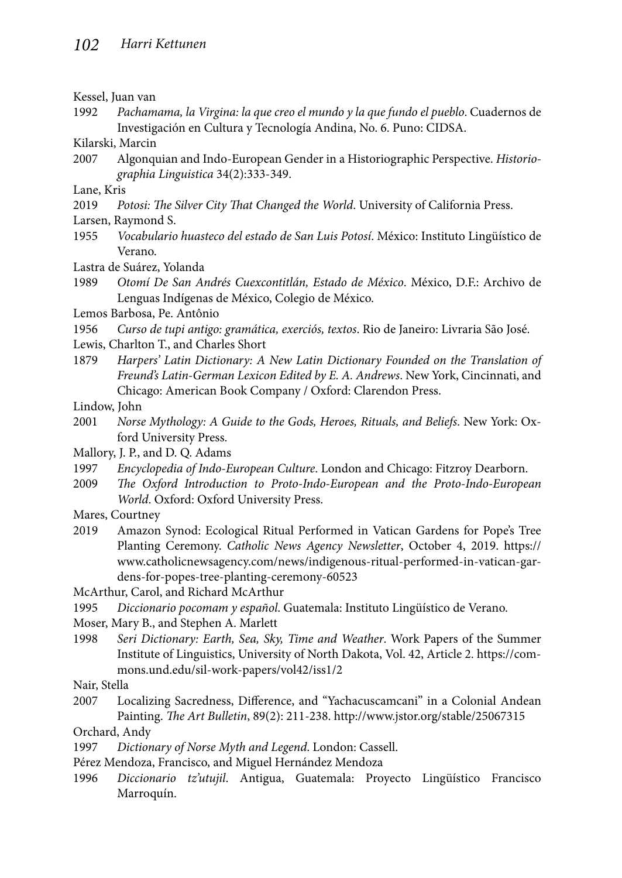Kessel, Juan van

1992 *Pachamama, la Virgina: la que creo el mundo y la que fundo el pueblo*. Cuadernos de Investigación en Cultura y Tecnología Andina, No. 6. Puno: CIDSA.

Kilarski, Marcin

2007 Algonquian and Indo-European Gender in a Historiographic Perspective. *Historiographia Linguistica* 34(2):333-349.

Lane, Kris

2019 *Potosi: The Silver City That Changed the World*. University of California Press.

Larsen, Raymond S.

1955 *Vocabulario huasteco del estado de San Luis Potosí*. México: Instituto Lingüístico de Verano.

Lastra de Suárez. Yolanda

1989 *Otomí De San Andrés Cuexcontitlán, Estado de México*. México, D.F.: Archivo de Lenguas Indígenas de México, Colegio de México.

Lemos Barbosa, Pe. Antônio

1956 *Curso de tupi antigo: gramática, exerciós, textos.* Rio de Janeiro: Livraria São José.

Lewis, Charlton T., and Charles Short

1879 *Harpers' Latin Dictionary: A New Latin Dictionary Founded on the Translation of Freund's Latin-German Lexicon Edited by E. A. Andrews*. New York, Cincinnati, and Chicago: American Book Company / Oxford: Clarendon Press.

Lindow, John

2001 *Norse Mythology: A Guide to the Gods, Heroes, Rituals, and Beliefs*. New York: Oxford University Press.

Mallory, J. P., and D. Q. Adams

- 1997 *Encyclopedia of Indo-European Culture*. London and Chicago: Fitzroy Dearborn.
- 2009 *The Oxford Introduction to Proto-Indo-European and the Proto-Indo-European World*. Oxford: Oxford University Press.
- Mares, Courtney
- 2019 Amazon Synod: Ecological Ritual Performed in Vatican Gardens for Pope's Tree Planting Ceremony. *Catholic News Agency Newsletter*, October 4, 2019. https:// www.catholicnewsagency.com/news/indigenous-ritual-performed-in-vatican-gardens-for-popes-tree-planting-ceremony-60523

McArthur, Carol, and Richard McArthur

1995 *Diccionario pocomam y español*. Guatemala: Instituto Lingüístico de Verano.

Moser, Mary B., and Stephen A. Marlett

1998 *Seri Dictionary: Earth, Sea, Sky, Time and Weather*. Work Papers of the Summer Institute of Linguistics, University of North Dakota, Vol. 42, Article 2. https://commons.und.edu/sil-work-papers/vol42/iss1/2

Nair, Stella

2007 Localizing Sacredness, Difference, and "Yachacuscamcani" in a Colonial Andean Painting. *The Art Bulletin*, 89(2): 211-238. http://www.jstor.org/stable/25067315

Orchard, Andy

- 1997 *Dictionary of Norse Myth and Legend*. London: Cassell.
- Pérez Mendoza, Francisco, and Miguel Hernández Mendoza
- 1996 *Diccionario tz'utujil*. Antigua, Guatemala: Proyecto Lingüístico Francisco Marroquín.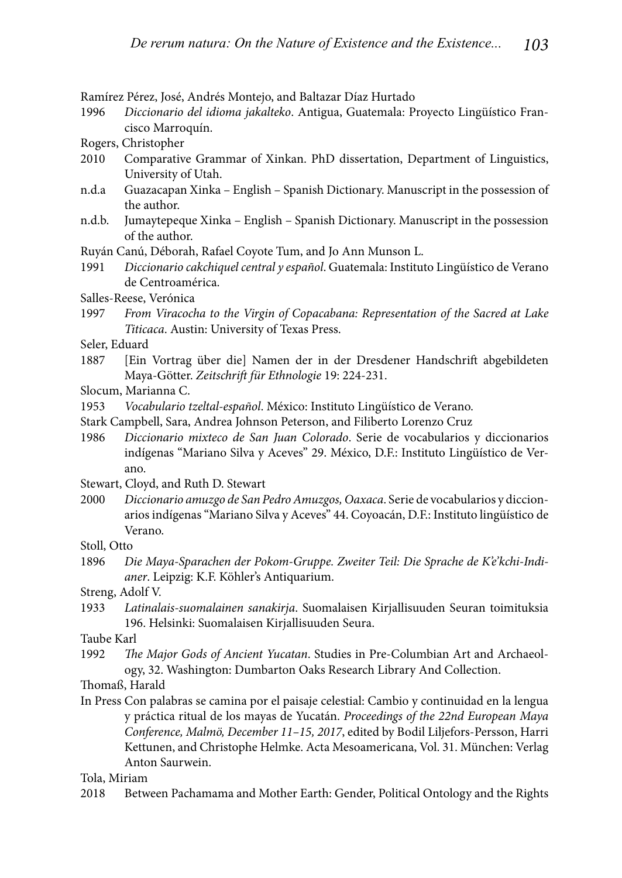Ramírez Pérez, José, Andrés Montejo, and Baltazar Díaz Hurtado

- 1996 *Diccionario del idioma jakalteko*. Antigua, Guatemala: Proyecto Lingüístico Francisco Marroquín.
- Rogers, Christopher
- 2010 Comparative Grammar of Xinkan. PhD dissertation, Department of Linguistics, University of Utah.
- n.d.a Guazacapan Xinka English Spanish Dictionary. Manuscript in the possession of the author.
- n.d.b. Jumaytepeque Xinka English Spanish Dictionary. Manuscript in the possession of the author.

Ruyán Canú, Déborah, Rafael Coyote Tum, and Jo Ann Munson L.

- 1991 *Diccionario cakchiquel central y español*. Guatemala: Instituto Lingüístico de Verano de Centroamérica.
- Salles-Reese, Verónica
- 1997 *From Viracocha to the Virgin of Copacabana: Representation of the Sacred at Lake Titicaca*. Austin: University of Texas Press.
- Seler, Eduard
- 1887 [Ein Vortrag über die] Namen der in der Dresdener Handschrift abgebildeten Maya-Götter. *Zeitschrift für Ethnologie* 19: 224-231.
- Slocum, Marianna C.
- 1953 *Vocabulario tzeltal-español*. México: Instituto Lingüístico de Verano.
- Stark Campbell, Sara, Andrea Johnson Peterson, and Filiberto Lorenzo Cruz
- 1986 *Diccionario mixteco de San Juan Colorado*. Serie de vocabularios y diccionarios indígenas "Mariano Silva y Aceves" 29. México, D.F.: Instituto Lingüístico de Verano.
- Stewart, Cloyd, and Ruth D. Stewart
- 2000 *Diccionario amuzgo de San Pedro Amuzgos, Oaxaca*. Serie de vocabularios y diccionarios indígenas "Mariano Silva y Aceves" 44. Coyoacán, D.F.: Instituto lingüístico de Verano.
- Stoll, Otto
- 1896 *Die Maya-Sparachen der Pokom-Gruppe. Zweiter Teil: Die Sprache de K'e'kchi-Indianer*. Leipzig: K.F. Köhler's Antiquarium.

Streng, Adolf V.

1933 *Latinalais-suomalainen sanakirja*. Suomalaisen Kirjallisuuden Seuran toimituksia 196. Helsinki: Suomalaisen Kirjallisuuden Seura.

Taube Karl

1992 *The Major Gods of Ancient Yucatan*. Studies in Pre-Columbian Art and Archaeology, 32. Washington: Dumbarton Oaks Research Library And Collection.

Thomaß, Harald

In Press Con palabras se camina por el paisaje celestial: Cambio y continuidad en la lengua y práctica ritual de los mayas de Yucatán. *Proceedings of the 22nd European Maya Conference, Malmö, December 11–15, 2017*, edited by Bodil Liljefors-Persson, Harri Kettunen, and Christophe Helmke. Acta Mesoamericana, Vol. 31. München: Verlag Anton Saurwein.

#### Tola, Miriam

2018 Between Pachamama and Mother Earth: Gender, Political Ontology and the Rights